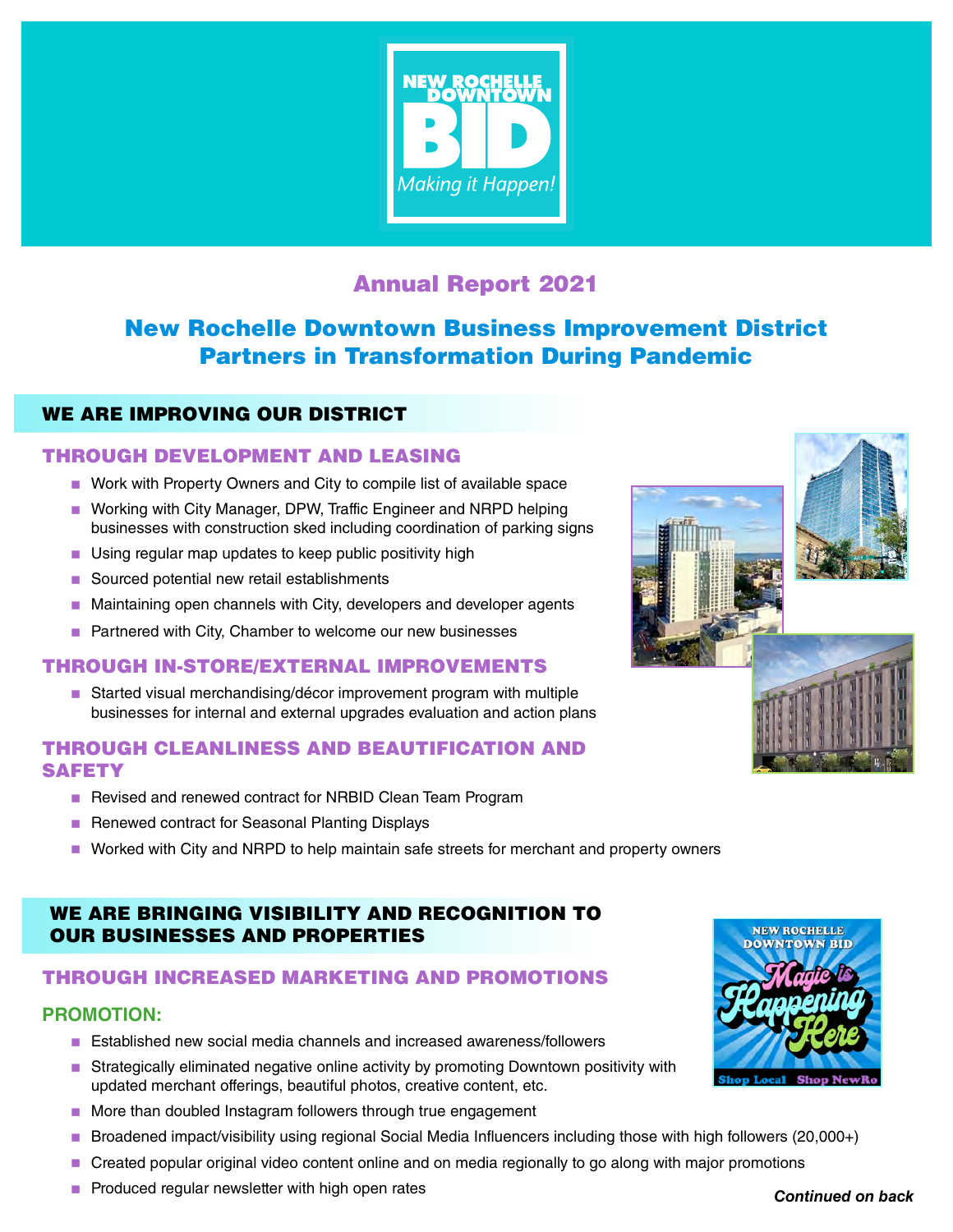

# Annual Report 2021

# New Rochelle Downtown Business Improvement District Partners in Transformation During Pandemic

## WE ARE IMPROVING OUR DISTRICT

### THROUGH DEVELOPMENT AND LEASING

- Work with Property Owners and City to compile list of available space
- Working with City Manager, DPW, Traffic Engineer and NRPD helping businesses with construction sked including coordination of parking signs
- **Using regular map updates to keep public positivity high**
- Sourced potential new retail establishments
- Maintaining open channels with City, developers and developer agents
- **Partnered with City, Chamber to welcome our new businesses**

### THROUGH IN-STORE/EXTERNAL IMPROVEMENTS

■ Started visual merchandising/décor improvement program with multiple businesses for internal and external upgrades evaluation and action plans

## THROUGH CLEANLINESS AND BEAUTIFICATION AND **SAFETY**

- Revised and renewed contract for NRBID Clean Team Program
- Renewed contract for Seasonal Planting Displays
- **NUM** Worked with City and NRPD to help maintain safe streets for merchant and property owners

## WE ARE BRINGING VISIBILITY AND RECOGNITION TO OUR BUSINESSES AND PROPERTIES

### THROUGH INCREASED MARKETING AND PROMOTIONS

### **PROMOTION:**

- **Established new social media channels and increased awareness/followers**
- **Strategically eliminated negative online activity by promoting Downtown positivity with** updated merchant offerings, beautiful photos, creative content, etc.
- More than doubled Instagram followers through true engagement
- Broadened impact/visibility using regional Social Media Influencers including those with high followers (20,000+)
- **Created popular original video content online and on media regionally to go along with major promotions**
- $\blacksquare$  Produced regular newsletter with high open rates